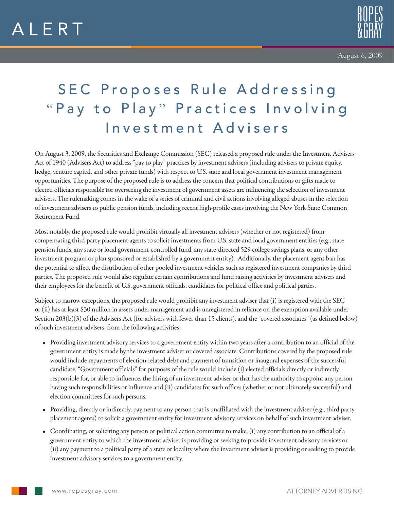



## SEC Proposes Rule Addressing "Pay to Play" Practices Involving Investment Advisers

On August 3, 2009, the Securities and Exchange Commission (SEC) released a proposed rule under the Investment Advisers Act of 1940 (Advisers Act) to address "pay to play" practices by investment advisers (including advisers to private equity, hedge, venture capital, and other private funds) with respect to U.S. state and local government investment management opportunities. The purpose of the proposed rule is to address the concern that political contributions or gifts made to elected officials responsible for overseeing the investment of government assets are influencing the selection of investment advisers. The rulemaking comes in the wake of a series of criminal and civil actions involving alleged abuses in the selection of investment advisers to public pension funds, including recent high-profile cases involving the New York State Common Retirement Fund.

Most notably, the proposed rule would prohibit virtually all investment advisers (whether or not registered) from compensating third-party placement agents to solicit investments from U.S. state and local government entities (e.g., state pension funds, any state or local government-controlled fund, any state-directed 529 college savings plans, or any other investment program or plan sponsored or established by a government entity). Additionally, the placement agent ban has the potential to affect the distribution of other pooled investment vehicles such as registered investment companies by third parties. The proposed rule would also regulate certain contributions and fund raising activities by investment advisers and their employees for the benefit of U.S. government officials, candidates for political office and political parties.

Subject to narrow exceptions, the proposed rule would prohibit any investment adviser that (i) is registered with the SEC or (ii) has at least \$30 million in assets under management and is unregistered in reliance on the exemption available under Section 203(b)(3) of the Advisers Act (for advisers with fewer than 15 clients), and the "covered associates" (as defined below) of such investment advisers, from the following activities:

- Providing investment advisory services to a government entity within two years after a contribution to an official of the government entity is made by the investment adviser or covered associate. Contributions covered by the proposed rule would include repayments of election-related debt and payment of transition or inaugural expenses of the successful candidate. "Government officials" for purposes of the rule would include (i) elected officials directly or indirectly responsible for, or able to influence, the hiring of an investment adviser or that has the authority to appoint any person having such responsibilities or influence and (ii) candidates for such offices (whether or not ultimately successful) and election committees for such persons.
- Providing, directly or indirectly, payment to any person that is unaffiliated with the investment adviser (e.g., third party placement agents) to solicit a government entity for investment advisory services on behalf of such investment adviser.
- Coordinating, or soliciting any person or political action committee to make, (i) any contribution to an official of a government entity to which the investment adviser is providing or seeking to provide investment advisory services or (ii) any payment to a political party of a state or locality where the investment adviser is providing or seeking to provide investment advisory services to a government entity.